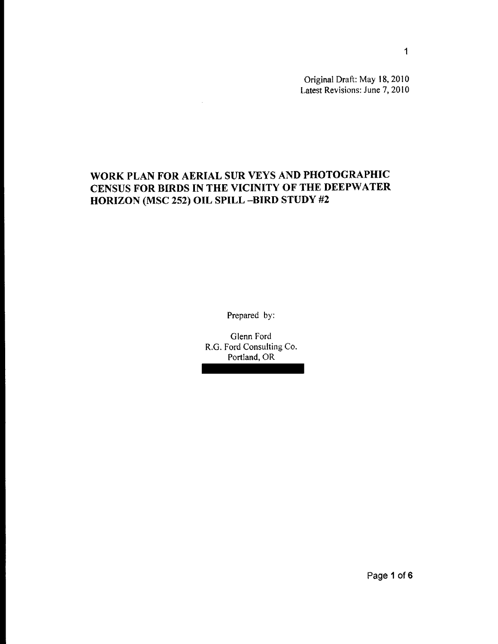Original Draft: May 18, 2010 Latest Revisions: June 7, 2010

# WORK PLAN FOR AERIAL SUR VEYS AND PHOTOGRAPHIC CENSUS FOR BIRDS IN THE VICINITY OF THE DEEPWATER HORIZON (MSC 252) OIL SPILL -BIRD STUDY #2

 $\sim$ 

Prepared by:

Glenn Ford R.G. Ford Consulting Co. Portland, OR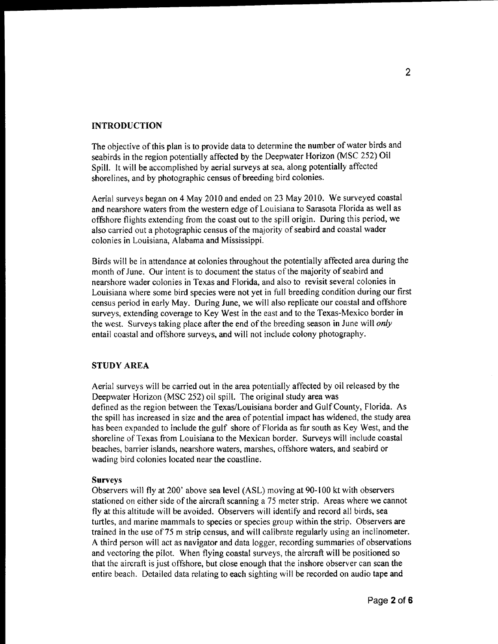### **INTRODUCTION**

The objective of this plan is to provide data to determine the number of water birds and seabirds in the region potentially affected by the Deepwater Horizon (MSC 252) Oil Spill. It will be accomplished by aerial surveys at sea, along potentially affected shorelines, and by photographic census of breeding bird colonies.

Aerial surveys began on 4 May 2010 and ended on 23 May 2010. We surveyed coastal and nearshore waters from the western edge of Louisiana to Sarasota Florida as well as offshore flights extending from the coast out to the spill origin. During this period, we also carried out a photographic census of the majority of seabird and coastal wader colonies in Louisiana, Alabama and Mississippi.

Birds will be in attendance at colonies throughout the potentially affected area during the month of June. Our intent is to document the status of the majority of seabird and nearshore wader colonies in Texas and Florida, and also to revisit several colonies in Louisiana where some bird species were not yet in full breeding condition during our first census period in early May. During June, we will also replicate our coastal and offshore surveys, extending coverage to Key West in the east and to the Texas-Mexico border in the west. Surveys taking place after the end of the breeding season in june will *only*  entail coastal and offshore surveys, and will not include colony photography.

#### **STUDY** AREA

Aerial surveys will be carried out in the area potentially affected by oil released by the Deepwater Horizon (MSC 252) oil spill. The original study area was defined as the region between the Texas/Louisiana border and GulfCounty, Florida. As the spill has increased in size and the area of potential impact has widened, the study area has been expanded to include the gulf shore of Florida as far south as Key West, and the shoreline of Texas from Louisiana to the Mexican border. Surveys will include coastal beaches, barrier islands, nearshore waters, marshes, offshore waters, and seabird or wading bird colonies located near the coastline.

#### Surveys

Observers will fly at 200' above sea level (ASL) moving at 90-1 00 kt with observers stationed on either side of the aircraft scanning a 75 meter strip. Areas where we cannot fly at this altitude will be avoided. Observers will identify and record all birds, sea turtles, and marine mammals to species or species group within the strip. Observers are trained in the use of75 m strip census, and will calibrate regularly using an inclinometer. A third person will act as navigator and data logger, recording summaries of observations and vectoring the pilot. When flying coastal surveys, the aircraft will be positioned so that the aircraft is just offshore, but close enough that the inshore observer can scan the entire beach. Detailed data relating to each sighting will be recorded on audio tape and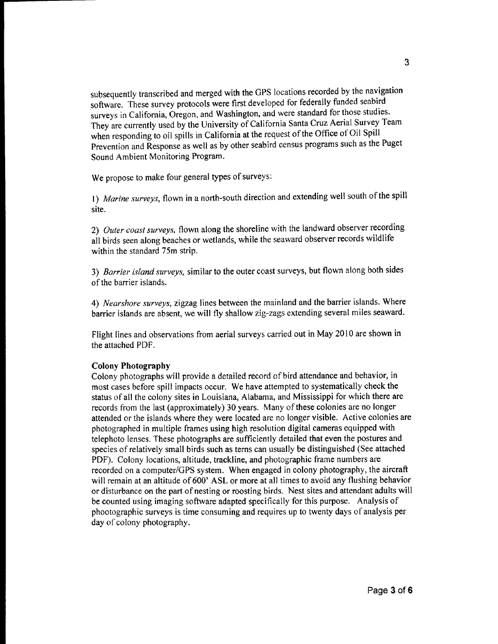subsequently transcribed and merged with the GPS locations recorded by the navigation software. These survey protocols were tirst developed for federally funded seabird surveys in California, Oregon, and Washington, and were standard for those studies. They are currently used by the University of California Santa Cruz Aerial Survey Team when responding to oil spills in California at the request of the Office of Oil Spill Prevention and Response as well as by other seabird census programs such as the Puget Sound Ambient Monitoring Program.

We propose to make four general types of surveys:

I) *Marine surveys,* flown in a north-south direction and extending well south of the spill site.

*2) Outer coast surveys,* flown along the shoreline with the landward observer recording all birds seen along beaches or wetlands, while the seaward observer records wildlife within the standard 75m strip.

*3) Barrier island surveys,* similar to the outer coast surveys, but flown along both sides of the barrier islands.

*4) Nearshore surveys,* zigzag lines between the mainland and the barrier islands. Where barrier islands are absent, we will fly shallow zig-zags extending several miles seaward.

Flight lines and observations from aerial surveys carried out in May 2010 are shown in the attached PDF.

#### Colony Photography

Colony photographs will provide a detailed record of bird attendance and behavior, in most cases before spill impacts occur. We have attempted to systematically check the status of all the colony sites in Louisiana, Alabama, and Mississippi for which there are records from the last (approximately) 30 years. Many of these colonies are no longer attended or the islands where they were located are no longer visible. Active colonies are photographed in multiple frames using high resolution digital cameras equipped with telephoto lenses. These photographs are sufficiently detailed that even the postures and species of relatively small birds such as terns can usually be distinguished (See attached PDF). Colony locations, altitude, trackline, and photographic frame numbers are recorded on a computer/GPS system. When engaged in colony photography, the aircraft will remain at an altitude of 600' ASL or more at all times to avoid any flushing behavior or disturbance on the part of nesting or roosting birds. Nest sites and attendant adults will be counted using imaging software adapted specifically for this purpose. Analysis of phootographic surveys is time consuming and requires up to twenty days of analysis per day of colony photography.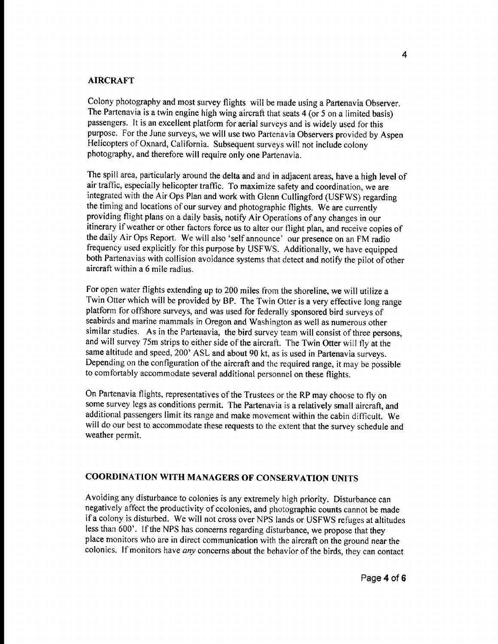### AIRCRAFT

Colony photography and most survey flights will be made using a Partenavia Observer. The Partenavia is a twin engine high wing aircraft that seats 4 (or 5 on a limited basis) passengers. It is an excellent platform for aerial surveys and is widely used for this purpose. For the June surveys, we will use two Partenavia Observers provided by Aspen Helicopters of Oxnard, California. Subsequent surveys will not include colony photography, and therefore will require only one Partenavia.

The spill area, particularly around the delta and and in adjacent areas, have a high level of air traffic, especially helicopter traffic. To maximize safety and coordination, we are integrated with the Air Ops Plan and work with Glenn Cullingford (USFWS) regarding the timing and locations of our survey and photographic flights. We are currently providing flight plans on a daily basis, notify Air Operations of any changes in our itinerary if weather or other factors force us to alter our flight plan, and receive copies of the daily Air Ops Report. We will also 'self announce' our presence on an FM radio frequency used explicitly for this purpose by USFWS. Additionally, we have equipped both Partenavias with collision avoidance systems that detect and notify the pilot of other aircraft within a 6 mile radius.

For open water flights extending up to 200 miles from the shoreline, we will utilize a Twin Otter which will be provided by SP. The Twin Otter is a very effective long range platform for offshore surveys, and was used for federally sponsored bird surveys of seabirds and marine mammals in Oregon and Washington as well as numerous other similar studies. As in the Partenavia, the bird survey team will consist of three persons, and will survey 75m strips to either side of the aircraft. The Twin Otter will fly at the same altitude and speed, 200' ASL and about 90 kt, as is used in Partenavia surveys. Depending on the configuration of the aircraft and the required range, it may be possible to comfortably accommodate several additional personnel on these flights.

On Partenavia flights, representatives of the Trustees or the RP may choose to fly on some survey legs as conditions permit. The Partenavia is a relatively small aircraft, and additional passengers limit its range and make movement within the cabin difficult. We will do our best to accommodate these requests to the extent that the survey schedule and weather permit.

### COORDINATION WITH MANAGERS OF CONSERVATION UNITS

Avoiding any disturbance to colonies is any extremely high priority. Disturbance can negatively affect the productivity of ccolonies, and photographic counts cannot be made if a colony is disturbed. We will not cross over NPS lands or USFWS refuges at altitudes less than 600'. If the NPS has concerns regarding disturbance, we propose that they place monitors who are in direct communication with the aircraft on the ground near the colonies. If monitors have any concerns about the behavior of the birds, they can contact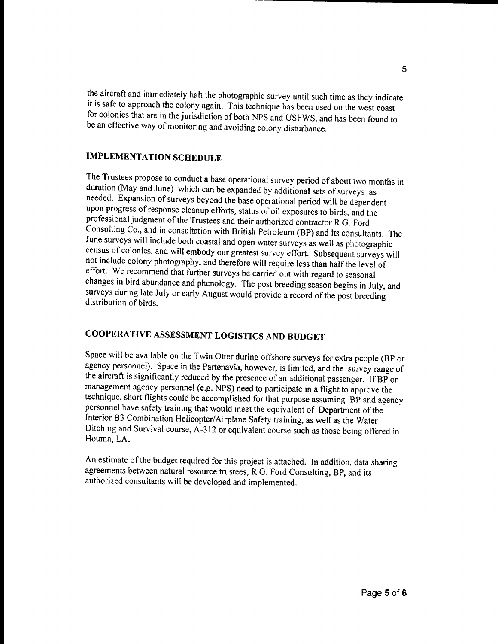the aircraft and immediately halt the photographic survey until such time as they indicate it is safe to approach the colony again. This technique has been used on the west coast for colonies that are in the jurisdiction of both NPS and USFWS, and has been found to be an effective way of monitoring and avoiding colony disturbance.

## IMPLEMENTATION SCHEDULE

The Trustees propose to conduct a base operational survey period of about two months in duration (May and June) which can be expanded by additional sets of surveys as needed. Expansion of surveys beyond the base operational period will be dependent upon progress of response cleanup efforts, status of oil exposures to birds, and the professional judgment of the Trustees and their authorized contractor RG. Ford Consulting Co., and in consultation with British Petroleum (BP) and its consultants. The June surveys will include both coastal and open water surveys as well as photographic census of colonies, and will embody our greatest survey effort. Subsequent surveys will not include colony photography, and therefore will require less than half the level of effort. We recommend that further surveys be carried out with regard to seasonal changes in bird abundance and phenology. The post breeding season begins in July, and surveys during late July or early August would provide a record of the post breeding distribution of birds.

# COOPERATIVE ASSESSMENT LOGISTICS AND BUDGET

Space will be available on the Twin Otter during offshore surveys for extra people (BP or agency personnel). Space in the Partenavia, however, is limited, and the survey range of the aircraft is significantly reduced by the presence of an additional passenger. If BP or management agency personnel (e.g. NPS) need to participate in a flight to approve the technique, short flights could be accomplished for that purpose assuming BP and agency personnel have safety training that would meet the equivalent of Department of the Interior B3 Combination Helicopter/Airplane Safety training, as well as the Water Ditching and Survival course, A-312 or equivalent course such as those being offered in Houma, LA.

An estimate of the budget required for this project is attached. In addition, data sharing agreements between natural resource trustees, R.O. Ford Consulting, BP, and its authorized consultants will be developed and implemented.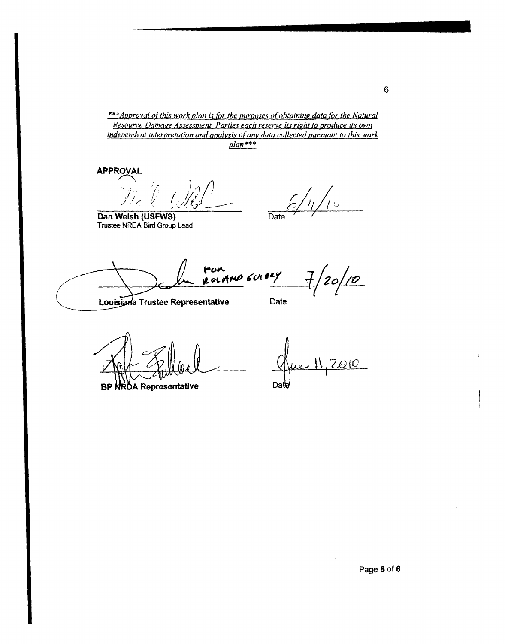\*\*\*Approval of this work plan is for the purposes of obtaining data for the Natural *Resource Damage Assessment. Parties each reserve its right to produce its own independent interpretation and analysis of any data collected pursuant to this work plan\*\*\** 

**APPROVAL** /..-........

\  $\rightarrow$  $\sqrt{I_{\infty}}$ 

**Dan Welsh (USFWS)**  Trustee NRDA Bird Group lead

 $\big\langle \frac{\partial}{\partial x^2} \big\rangle$ Date

FOR<br>ROLAND GUIDEY

 $\overline{\mathcal{D}}$ 

**Louisiana Trustee Representative** 

Date

BP NRDA Representative

 $2010$ Date